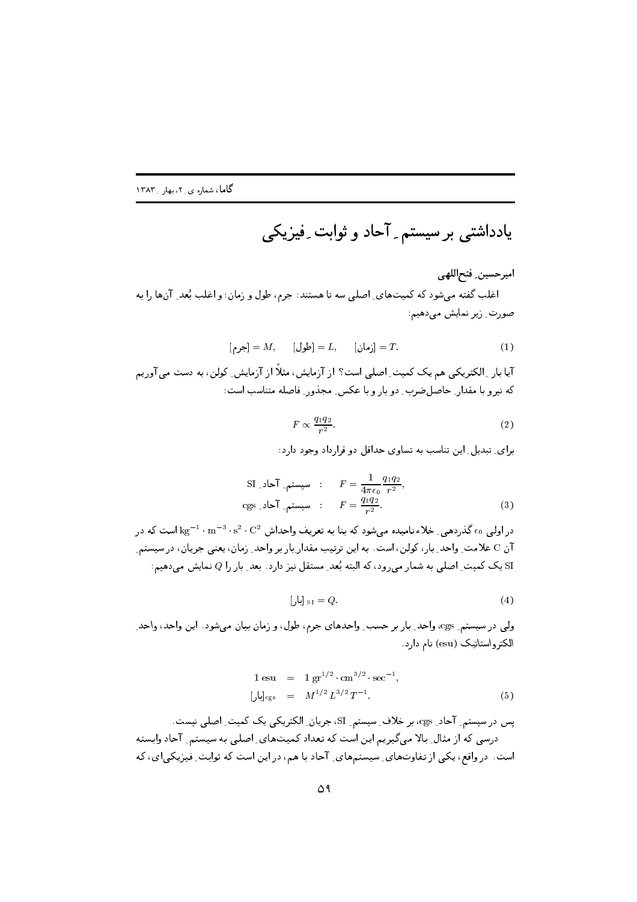\$ 45 -6 '7) &8 .''\$

اميرحسين ِ فتح|للهي ی کی کی کا انداز میں دور کا جائے ہیں جو ان صورت ِ زیر نمایش میدهیم:

$$
[A, \quad [A, \quad [A, \quad B]] = L, \quad [A, \quad B]] = T.
$$

ا يا بار \_ الأسريكي شم يك الشيك السمي الشكل از ارتكيس السكر از ارتكيس الوس، به السك من اوريس  $\overline{\phantom{a}}$  .  $\overline{\phantom{a}}$  .  $\overline{\phantom{a}}$  .  $\overline{\phantom{a}}$  .  $\overline{\phantom{a}}$  .  $\overline{\phantom{a}}$  .  $\overline{\phantom{a}}$  .  $\overline{\phantom{a}}$  .  $\overline{\phantom{a}}$  .  $\overline{\phantom{a}}$  .  $\overline{\phantom{a}}$  .  $\overline{\phantom{a}}$  .  $\overline{\phantom{a}}$  .  $\overline{\phantom{a}}$  .  $\overline{\phantom{a}}$  .  $\overline{\phantom{a}}$ 

$$
F \propto \frac{q_1 q_2}{r^2}.\tag{2}
$$

\
 - 
L - RLB -35 I.5  RT5 

$$
\begin{aligned}\n\text{SI} \_ \text{sum} \quad & \text{if } F = \frac{1}{4\pi\epsilon_0} \frac{q_1 q_2}{r^2}, \\
\text{cgs} \_ \text{sum} \quad & \text{if } F = \frac{q_1 q_2}{r^2}.\n\end{aligned}
$$
\n
$$
\tag{3}
$$

 2 = B- n 5 . \$ "4 DZ0H 
m <sup>&</sup>gt; F- س کا است کا در این این است که در این کار برای است که است است که است که است که در است که در است که است که در اس ن المستقل التي تعالى المستقل التي تعالى المستقل المستقل المستقل المستقل المستقل المستقل المستقل المستقل المستق

$$
\left[\mathbf{u}\right]_{\text{SI}} = Q.\tag{4}
$$

כה) יכול האיירופי כולל את היה ביותר של אינון העשית כנייט אין הערביו איט פולייני היה א الکترواستاتیک (esu) نام دارد.

$$
1 \text{ esu} = 1 \text{ gr}^{1/2} \cdot \text{cm}^{3/2} \cdot \text{sec}^{-1},
$$
  

$$
\left[\bigcup_{c \text{gs}} \right]_{c \text{gs}} = M^{1/2} L^{3/2} T^{-1}.
$$
 (5)

یس در سیستم ِ آحاد ِ cgs، بر خلاف ِ سیستم ِ SI، جریان ِ الکتریکی یک کمیت ِ اصلی نیست. - 1971 - 1972 - 1972 من المرتب المستقدم المستقدم المستقدم المستقدم المستقدم المستقدم المستقدم المستقدم المستقد  < <sup>4</sup> <sup>=</sup> 2 d 2  
 ( B) (34 ,- ^ 5  DL- 2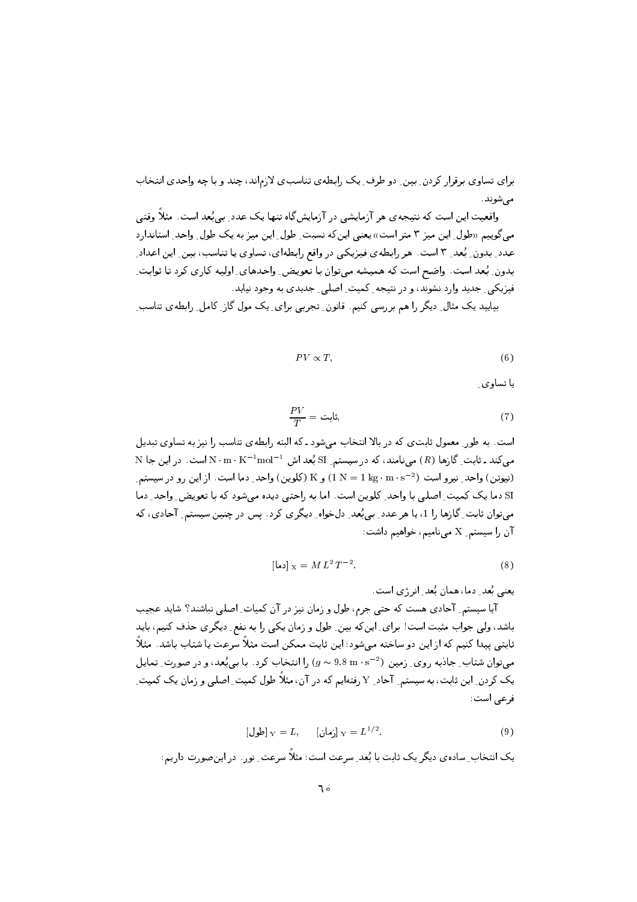براي تساوي برقرار كردن ِ بين ِ دو طرف ِ يک رابطهي تناسبي لازماند، چند و با چه واحدي انتخاب مے شوند.

واقعیت این است که نتیجه ی هر آزمایشی در آزمایش گاه تنها یک عدد ِ بی بُعد است. مثلاً وقتی می گوییم «طول ِ این میز ۳ متر است» یعنی این که نسبت ِ طول ِ این میز به یک طول ِ واحد ِ استاندار د عدد ِ بدون ِ بُعد ِ ۳ است. هر رابطهي فيزيكي در واقع رابطهاي، تساوي يا تناسب، بين ِ اين اعداد ِ بدون ِ بُعد است. واضح است که همیشه میتوان با تعویض ِ واحدهای ِ اولیه کاری کرد تا ثوابت ِ فیزیکی ِ جدید وارد نشوند، و در نتیجه ِ کمیت ِ اصلی ِ جدیدی به وجود نیاید. بیاپید یک مثال ِ دیگر را هم بررسی کنیم. قانون ِ تجربی برای ِ یک مول گاز ِ کامل ِ رابطه ی تناسب ِ

$$
PV \propto T,\tag{6}
$$

ىا تساوى ِ

$$
\frac{PV}{T} = \dot{\phi},\tag{7}
$$

است. به طور ِ معمول ثابت ی که در بالا انتخاب می شود ـ که البته رابطه ی تناسب را نیز به تساوی تبدیل N مینامند، که در سیستم SI بُعد اش  $\rm N\cdot m\cdot K^{-1}$ ست. در این جا N  $\rm m\cdot K^{-1}$ mol $^{-1}$ (نیوتن) واحد ِ نیرو است (2-1 kg · m × 1) و K (کلوین) واحد ِ دما است. از این رو در سیستم ِ SI دما یک کمیت ِ اصلی با واحد ِ کلوین است. اما به راحتی دیده میشود که با تعویض ِ واحد ِ دما میتوان ثابت ِ گازها را 1، یا هر عدد ِ بی بُعد ِ دلخواه ِ دیگری کرد . پس در چنین سیستم ِ آحادی، که آن را سیستم ـ X مینامیم، خواهیم داشت:

$$
[\mathbf{LJ}] \times = ML^2 T^{-2}.
$$

یعنی بُعد ِ دما، همان بُعد ِ انر ژی است.

آیا سیستم ِ آحادی هست که حتبی جرم، طول و زمان نیز در آن کمیات ِ اصلی نباشند؟ شاید عجیب باشد، ولی جواب مثبت است! برای ِ اینکه بین ِ طول و زمان یکی را به نفع ِ دیگری حذف کنیم، باید ثابتی پیدا کنیم که از این دو ساخته میشود؛ این ثابت ممکن است مثلاً سرعت یا شتاب باشد. مثلاً می توان شتاب ِ جادبه روی ِ زمین (2-s .m · s / 9.8 m) را انتخاب کرد. با بی بُعد، و در صورت ِ تمایل یک کردن ِ این ثابت، به سیستم ِ آحاد ِ Y رفتهایم که در آن، مثلاً طول کمیت ِ اصلبی و زمان یک کمیت ِ فرعي است:

[4] 
$$
Y = L, \qquad [\mathbf{v}] \cdot Y = L^{1/2}.
$$

یک انتخاب ِ ساده ی دیگر یک ثابت با بُعد ِ سرعت است؛ مثلاً سرعت ِ نور. در این صورت داریم: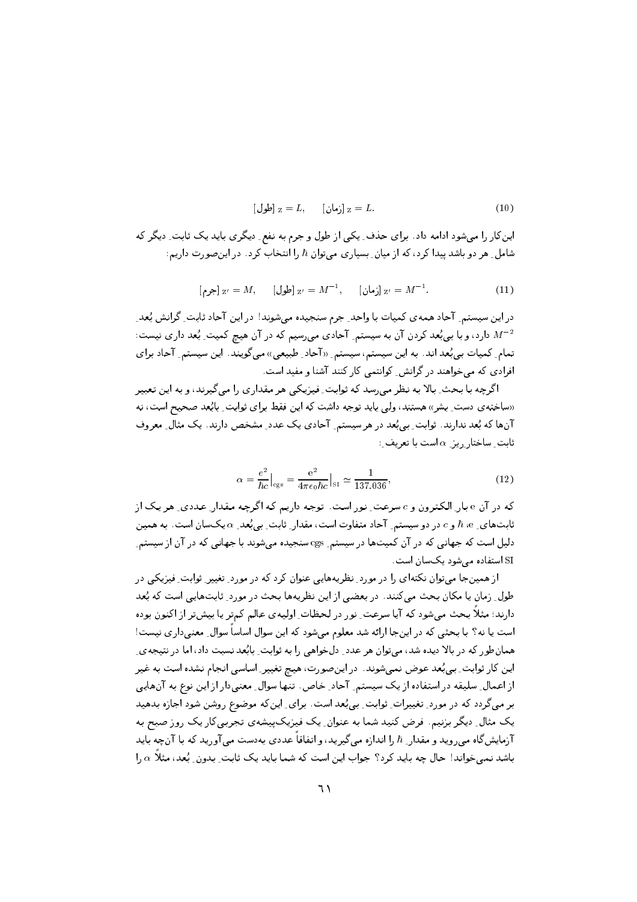$$
\text{[j]} \quad Z = L, \quad \text{[j]} \quad Z = L. \tag{10}
$$

اینکار را میشود ادامه داد. برای حذف ِ یکی از طول و جرم به نفع ِ دیگری باید یک ثابت ِ دیگر که شامل ِ هر دو باشد پیدا کرد، که از میان ِ بِسیاری میتوان ħ را انتخاب کرد . در اینصورت داریم:

[
$$
\mathbf{z}' = M
$$
,  $\mathbf{z}' = M^{-1}$ ,  $\mathbf{z}' = M^{-1}$ . (11)

در این سیستم ِ آحاد همهی کمیات با واحد ِ جرم سنجیده میشوند! در این آحاد ثابت ِ گرانش بُعد ِ دارد، و با بی بُعد کردن آن به سیستم ِ آحادی میرسیم که در آن هیچ کمیت ِ بُعد داری نیست:  $M^{-2}$ تمام ِ کمیات بی بُعد اند. به این سیستم، سیستم ِ «آحاد ِ طبیعی» میگویند. این سیستم ِ آحاد برای افرادی که می خواهند در گرانش ِ کوانتمی کار کنند آشنا و مفید است.

اگرچه با بحث ِ بالا به نظر می رسد که ثوابت ِ فیزیکی هر مقداری را می گیرند، و به این تعبیر «ساخته ی دست ِ بِشر» هستند، ولی باید توجه داشت که این فقط برای ثوابت ِ بابُعد صحیح است، نه آنها که بُعد ندارند. نوابت ِ بي بُعد در هر سيستم ِ آحادي يک عدد ِ مشخص دارند. يک مثال ِ معروف  $\cdot$ فابت ِ ساختار ریز ِ  $\alpha$  است با تعریف

$$
\alpha = \frac{e^2}{\hbar c}\Big|_{\rm cgs} = \frac{e^2}{4\pi\epsilon_0\hbar c}\Big|_{\rm SI} \simeq \frac{1}{137.036},\tag{12}
$$

که در آن e بار ِ الکترون و c سرعت ِ نور است. توجه داریم که اگرچه مقدار ِ عددی ِ هر یک از ثابتهای ِ e، e و c در دو سیستم ِ آحاد متفاوت است، مقدار ِ ثابت ِ بی بُعد ِ a یکسان است. به همین دلیل است که جهانی که در آن کمیتها در سیستم ِ cgs سنجیده میشوند با جهانی که در آن از سیستم ِ SI استفاده مے شود یک سان است.

از همینجا می توان نکتهای را در مورد ِ نظریههایی عنوان کرد که در مورد ِ تغییر ِ ثوابت ِ فیزیکی در طول ِ زمان یا مکان بحث میکنند. در بعضی از این نظریهها بحث در مورد ِ ثابتهایی است که بُعد دارند؛ مثلاً بحث میشود که آیا سرعت ِ نور در لحظات ِ اولیه ی عالم کمتر یا بیشتر از اکنون بوده است یا نه؟ با بحثی که در اینجا ارائه شد معلوم میشود که این سوال اساساً سوال ِ معنی داری نیست! همان طور که در بالا دیده شد، میتوان هر عدد ِ دلخواهی را به ثوابت ِ بابُعد نسبت داد، اما در نتیجه ی ِ این کار ثوابت ِ بی بُعد عوض نمیشوند. در اینصورت، هیچ تغییر ِ اساسی انجام نشده است به غیر از اعمال ِ سلیقه در استفاده از یک سیستم ِ آحاد ِ خاص ِ تنها سوال ِ معنیدار از این نوع به آنهایی بر میگردد که در مورد ِ تغییرات ِ ثوابت ِ بیبُعد است. برای ِ اینکه موضوع روشن شود اجازه بدهید یک مثال ِ دیگر بزنیم. فرض کنید شما به عنوان ِ یک فیزیکپیشهی تجربی کار یک روز صبح به آزمایشگاه می روید و مقدار ِ ħ را اندازه می گیرید، و اتفاقاً عددی بهدست می آورید که با آنچه باید باشد نمی خواند! حال چه باید کرد؟ جواب این است که شما باید یک ثابت ِ بدون ِ بُعد، مثلاً  $\alpha$  را